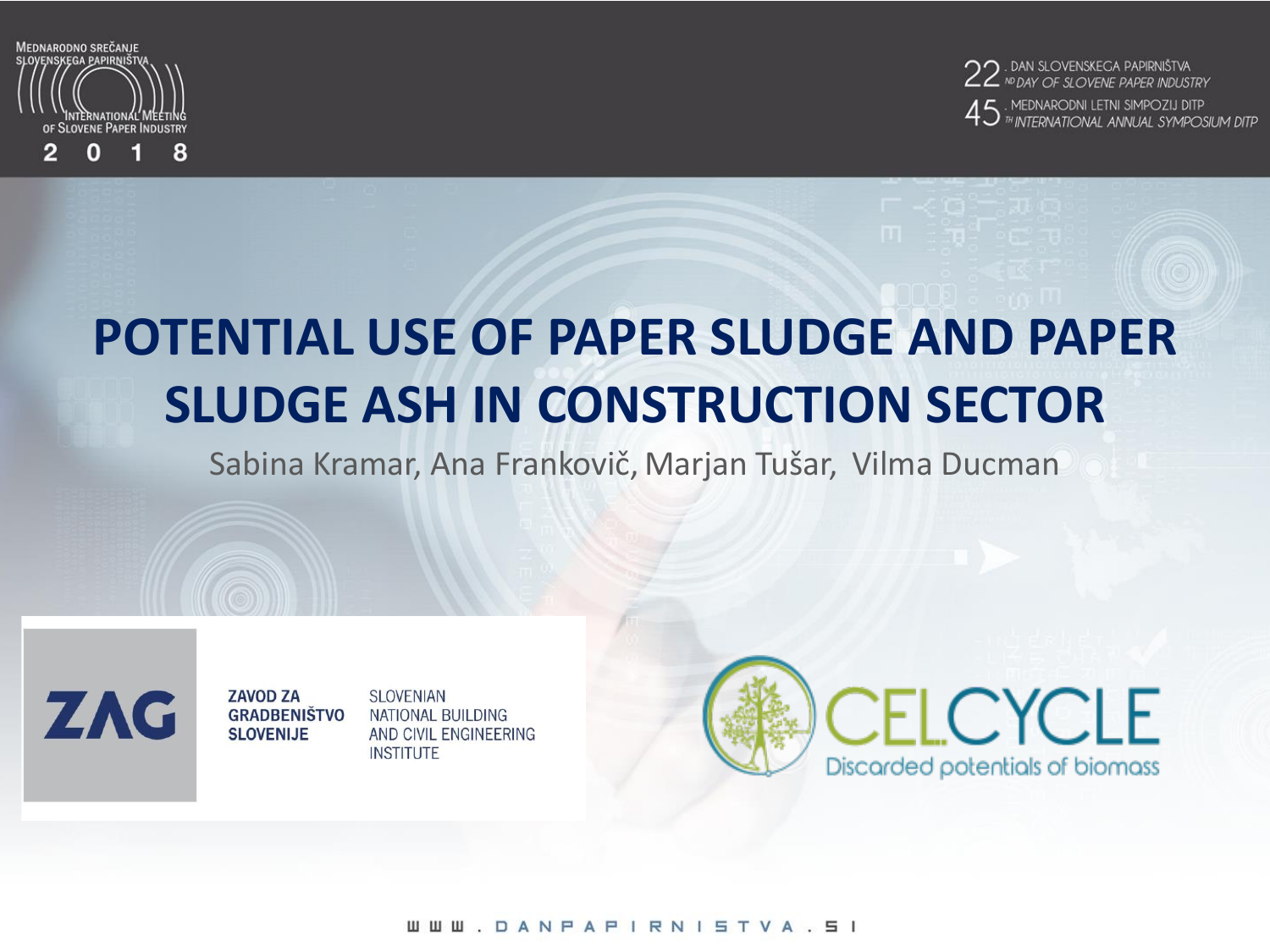

 $22$  . Dan slovenskega papirništva<br>22 mp*day of slovene paper industry* . MEDNARODNI LETNI SIMPOZIJ DITP<br><sup>1 th</sup> INTERNATIONAL ANNUAL SYMPOSIUM DITP

# **POTENTIAL USE OF PAPER SLUDGE AND PAPER SLUDGE ASH IN CONSTRUCTION SECTOR**

Sabina Kramar, Ana Frankovič, Marjan Tušar, Vilma Ducman

**ZAG** 

**ZAVOD ZA GRADBENIŠTVO SLOVENIJE** 

**SLOVENIAN NATIONAL BUILDING** AND CIVIL ENGINEERING **INSTITUTE** 

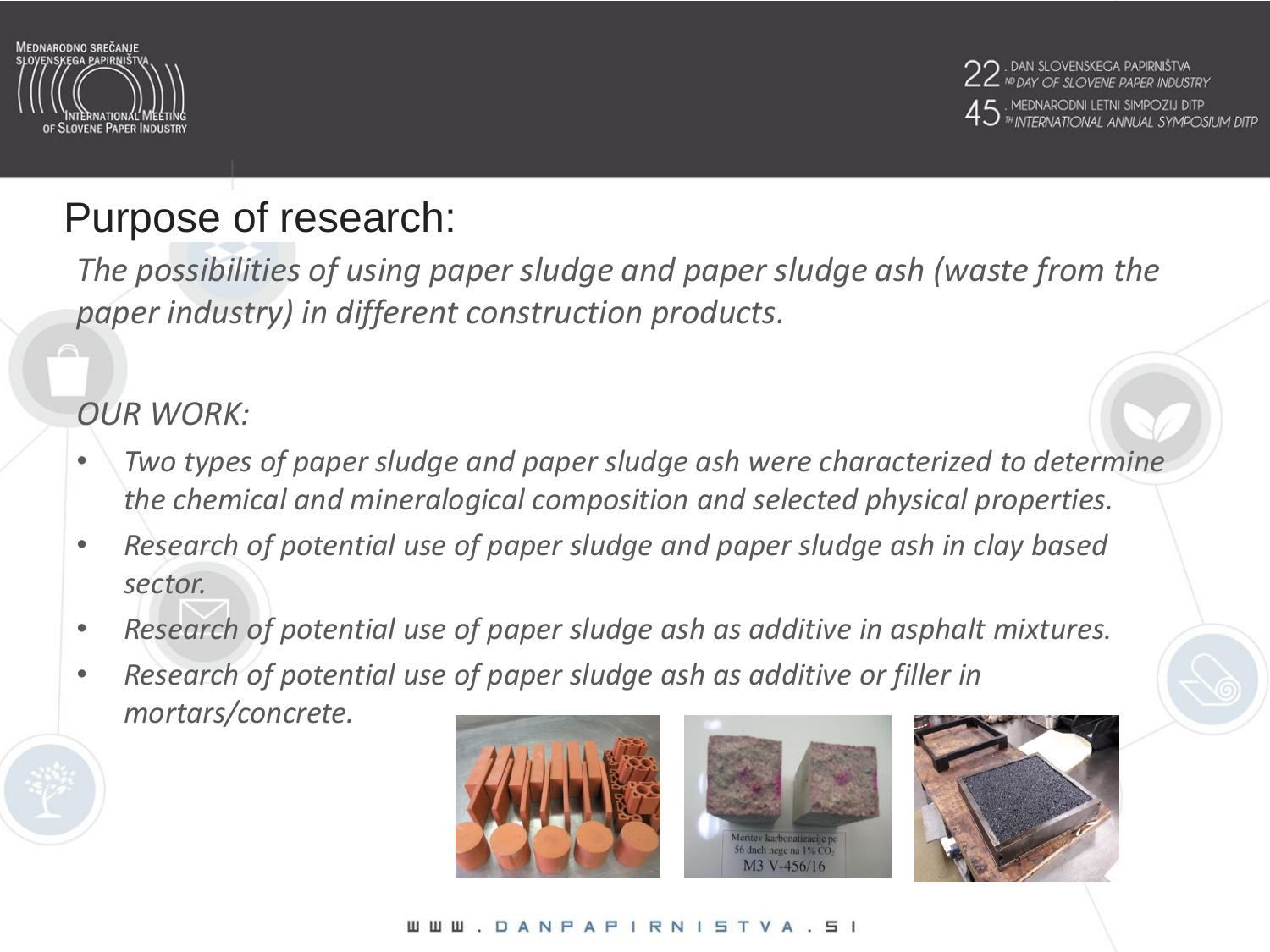

DAN SLOVENSKEGA PAPIRNIŠTVA ■ NDAY OF SLOVENE PAPER INDUSTRY MEDNARODNI LETNI SIMPOZIJ DITP **ITERNATIONAL ANNUAL SYMPOSIUM DITP** 

## Purpose of research:

*The possibilities of using paper sludge and paper sludge ash (waste from the paper industry) in different construction products.* 

### *OUR WORK:*

- *Two types of paper sludge and paper sludge ash were characterized to determine the chemical and mineralogical composition and selected physical properties.*
- *Research of potential use of paper sludge and paper sludge ash in clay based sector.*
- *Research of potential use of paper sludge ash as additive in asphalt mixtures.*
- *Research of potential use of paper sludge ash as additive or filler in mortars/concrete.*







#### WW.DANPAPIRNISTVA.SI